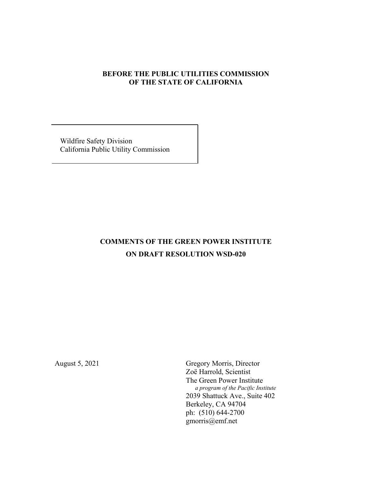## **BEFORE THE PUBLIC UTILITIES COMMISSION OF THE STATE OF CALIFORNIA**

 Wildfire Safety Division California Public Utility Commission

# **COMMENTS OF THE GREEN POWER INSTITUTE ON DRAFT RESOLUTION WSD-020**

August 5, 2021 Gregory Morris, Director Zoë Harrold, Scientist The Green Power Institute  *a program of the Pacific Institute* 2039 Shattuck Ave., Suite 402 Berkeley, CA 94704 ph: (510) 644-2700 gmorris@emf.net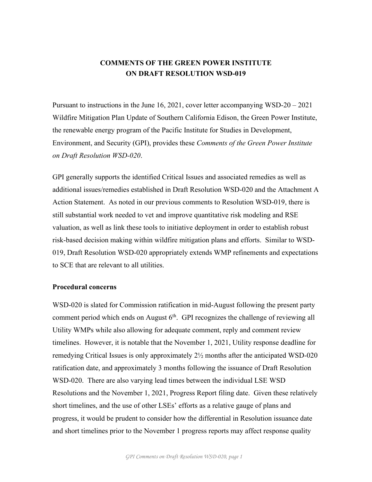# **COMMENTS OF THE GREEN POWER INSTITUTE ON DRAFT RESOLUTION WSD-019**

Pursuant to instructions in the June 16, 2021, cover letter accompanying WSD-20 – 2021 Wildfire Mitigation Plan Update of Southern California Edison, the Green Power Institute, the renewable energy program of the Pacific Institute for Studies in Development, Environment, and Security (GPI), provides these *Comments of the Green Power Institute on Draft Resolution WSD-020*.

GPI generally supports the identified Critical Issues and associated remedies as well as additional issues/remedies established in Draft Resolution WSD-020 and the Attachment A Action Statement. As noted in our previous comments to Resolution WSD-019, there is still substantial work needed to vet and improve quantitative risk modeling and RSE valuation, as well as link these tools to initiative deployment in order to establish robust risk-based decision making within wildfire mitigation plans and efforts. Similar to WSD-019, Draft Resolution WSD-020 appropriately extends WMP refinements and expectations to SCE that are relevant to all utilities.

#### **Procedural concerns**

WSD-020 is slated for Commission ratification in mid-August following the present party comment period which ends on August  $6<sup>th</sup>$ . GPI recognizes the challenge of reviewing all Utility WMPs while also allowing for adequate comment, reply and comment review timelines. However, it is notable that the November 1, 2021, Utility response deadline for remedying Critical Issues is only approximately 2½ months after the anticipated WSD-020 ratification date, and approximately 3 months following the issuance of Draft Resolution WSD-020. There are also varying lead times between the individual LSE WSD Resolutions and the November 1, 2021, Progress Report filing date. Given these relatively short timelines, and the use of other LSEs' efforts as a relative gauge of plans and progress, it would be prudent to consider how the differential in Resolution issuance date and short timelines prior to the November 1 progress reports may affect response quality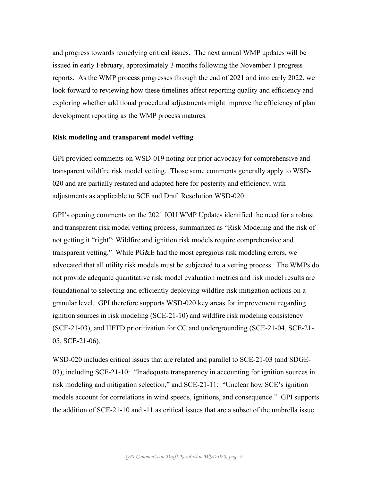and progress towards remedying critical issues. The next annual WMP updates will be issued in early February, approximately 3 months following the November 1 progress reports. As the WMP process progresses through the end of 2021 and into early 2022, we look forward to reviewing how these timelines affect reporting quality and efficiency and exploring whether additional procedural adjustments might improve the efficiency of plan development reporting as the WMP process matures.

#### **Risk modeling and transparent model vetting**

GPI provided comments on WSD-019 noting our prior advocacy for comprehensive and transparent wildfire risk model vetting. Those same comments generally apply to WSD-020 and are partially restated and adapted here for posterity and efficiency, with adjustments as applicable to SCE and Draft Resolution WSD-020:

GPI's opening comments on the 2021 IOU WMP Updates identified the need for a robust and transparent risk model vetting process, summarized as "Risk Modeling and the risk of not getting it "right": Wildfire and ignition risk models require comprehensive and transparent vetting." While PG&E had the most egregious risk modeling errors, we advocated that all utility risk models must be subjected to a vetting process. The WMPs do not provide adequate quantitative risk model evaluation metrics and risk model results are foundational to selecting and efficiently deploying wildfire risk mitigation actions on a granular level. GPI therefore supports WSD-020 key areas for improvement regarding ignition sources in risk modeling (SCE-21-10) and wildfire risk modeling consistency (SCE-21-03), and HFTD prioritization for CC and undergrounding (SCE-21-04, SCE-21- 05, SCE-21-06).

WSD-020 includes critical issues that are related and parallel to SCE-21-03 (and SDGE-03), including SCE-21-10: "Inadequate transparency in accounting for ignition sources in risk modeling and mitigation selection," and SCE-21-11: "Unclear how SCE's ignition models account for correlations in wind speeds, ignitions, and consequence." GPI supports the addition of SCE-21-10 and -11 as critical issues that are a subset of the umbrella issue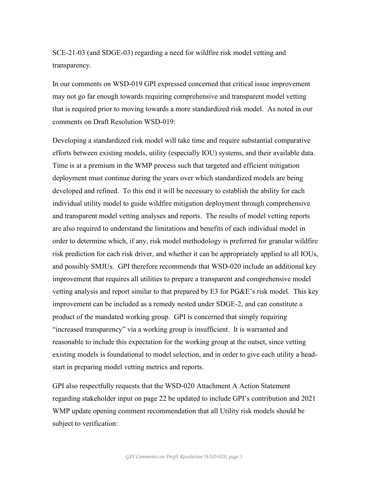SCE-21-03 (and SDGE-03) regarding a need for wildfire risk model vetting and transparency.

In our comments on WSD-019 GPI expressed concerned that critical issue improvement may not go far enough towards requiring comprehensive and transparent model vetting that is required prior to moving towards a more standardized risk model. As noted in our comments on Draft Resolution WSD-019:

Developing a standardized risk model will take time and require substantial comparative efforts between existing models, utility (especially IOU) systems, and their available data. Time is at a premium in the WMP process such that targeted and efficient mitigation deployment must continue during the years over which standardized models are being developed and refined. To this end it will be necessary to establish the ability for each individual utility model to guide wildfire mitigation deployment through comprehensive and transparent model vetting analyses and reports. The results of model vetting reports are also required to understand the limitations and benefits of each individual model in order to determine which, if any, risk model methodology is preferred for granular wildfire risk prediction for each risk driver, and whether it can be appropriately applied to all IOUs, and possibly SMJUs. GPI therefore recommends that WSD-020 include an additional key improvement that requires all utilities to prepare a transparent and comprehensive model vetting analysis and report similar to that prepared by E3 for PG&E's risk model. This key improvement can be included as a remedy nested under SDGE-2, and can constitute a product of the mandated working group. GPI is concerned that simply requiring "increased transparency" via a working group is insufficient. It is warranted and reasonable to include this expectation for the working group at the outset, since vetting existing models is foundational to model selection, and in order to give each utility a headstart in preparing model vetting metrics and reports.

GPI also respectfully requests that the WSD-020 Attachment A Action Statement regarding stakeholder input on page 22 be updated to include GPI's contribution and 2021 WMP update opening comment recommendation that all Utility risk models should be subject to verification: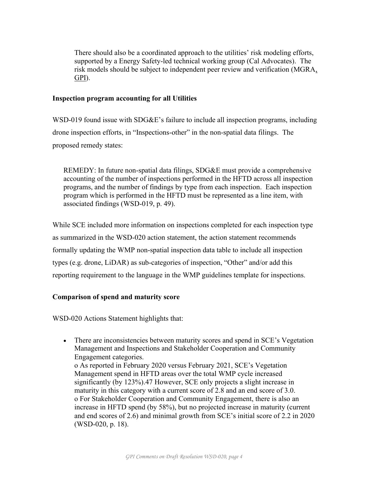There should also be a coordinated approach to the utilities' risk modeling efforts, supported by a Energy Safety-led technical working group (Cal Advocates). The risk models should be subject to independent peer review and verification (MGRA, GPI).

## **Inspection program accounting for all Utilities**

WSD-019 found issue with SDG&E's failure to include all inspection programs, including drone inspection efforts, in "Inspections-other" in the non-spatial data filings. The proposed remedy states:

REMEDY: In future non-spatial data filings, SDG&E must provide a comprehensive accounting of the number of inspections performed in the HFTD across all inspection programs, and the number of findings by type from each inspection. Each inspection program which is performed in the HFTD must be represented as a line item, with associated findings (WSD-019, p. 49).

While SCE included more information on inspections completed for each inspection type as summarized in the WSD-020 action statement, the action statement recommends formally updating the WMP non-spatial inspection data table to include all inspection types (e.g. drone, LiDAR) as sub-categories of inspection, "Other" and/or add this reporting requirement to the language in the WMP guidelines template for inspections.

# **Comparison of spend and maturity score**

WSD-020 Actions Statement highlights that:

• There are inconsistencies between maturity scores and spend in SCE's Vegetation Management and Inspections and Stakeholder Cooperation and Community Engagement categories. o As reported in February 2020 versus February 2021, SCE's Vegetation Management spend in HFTD areas over the total WMP cycle increased significantly (by 123%).47 However, SCE only projects a slight increase in maturity in this category with a current score of 2.8 and an end score of 3.0. o For Stakeholder Cooperation and Community Engagement, there is also an increase in HFTD spend (by 58%), but no projected increase in maturity (current and end scores of 2.6) and minimal growth from SCE's initial score of 2.2 in 2020 (WSD-020, p. 18).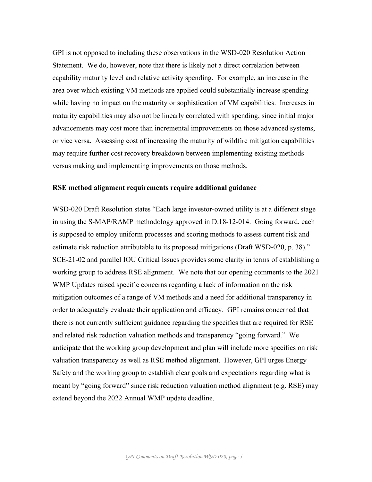GPI is not opposed to including these observations in the WSD-020 Resolution Action Statement. We do, however, note that there is likely not a direct correlation between capability maturity level and relative activity spending. For example, an increase in the area over which existing VM methods are applied could substantially increase spending while having no impact on the maturity or sophistication of VM capabilities. Increases in maturity capabilities may also not be linearly correlated with spending, since initial major advancements may cost more than incremental improvements on those advanced systems, or vice versa. Assessing cost of increasing the maturity of wildfire mitigation capabilities may require further cost recovery breakdown between implementing existing methods versus making and implementing improvements on those methods.

#### **RSE method alignment requirements require additional guidance**

WSD-020 Draft Resolution states "Each large investor-owned utility is at a different stage in using the S-MAP/RAMP methodology approved in D.18-12-014. Going forward, each is supposed to employ uniform processes and scoring methods to assess current risk and estimate risk reduction attributable to its proposed mitigations (Draft WSD-020, p. 38)." SCE-21-02 and parallel IOU Critical Issues provides some clarity in terms of establishing a working group to address RSE alignment. We note that our opening comments to the 2021 WMP Updates raised specific concerns regarding a lack of information on the risk mitigation outcomes of a range of VM methods and a need for additional transparency in order to adequately evaluate their application and efficacy. GPI remains concerned that there is not currently sufficient guidance regarding the specifics that are required for RSE and related risk reduction valuation methods and transparency "going forward." We anticipate that the working group development and plan will include more specifics on risk valuation transparency as well as RSE method alignment. However, GPI urges Energy Safety and the working group to establish clear goals and expectations regarding what is meant by "going forward" since risk reduction valuation method alignment (e.g. RSE) may extend beyond the 2022 Annual WMP update deadline.